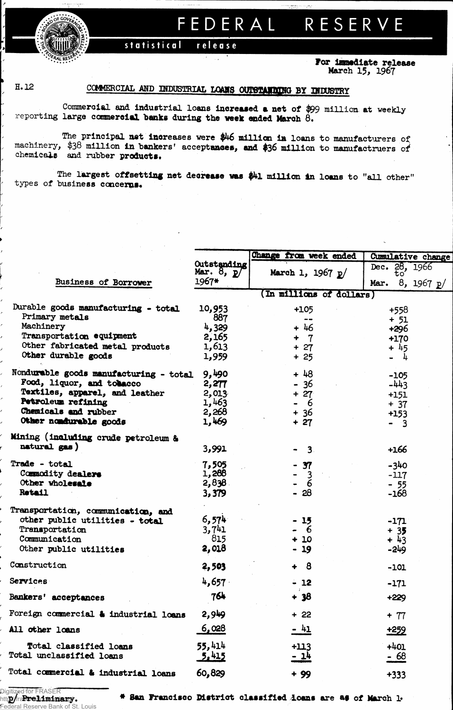**FEDERA L RESERV E**

release **statistical** 

> **For immediate release March 15, 1967**

> > **-**

*FRALRESEN.* 

## H. 12 COMMERCIAL AND INDUSTRIAL LOANS OUTSTANDING BY INDUSTRY

**Commercial and industrial loans** increased a net **of \$99 million at weekly reporting large coroner**oial banks **during** the week ended March **6.**

**The principal** net **increases were \$46 million ia loans to manufacturers of machinery, \$38 million In hankers<sup>1</sup> accept**asses, and **\$36 million to manufacturers** chemicals and rubber products.

**The largest** offsetting net decrease was **\$4l** million In loans **to "all other" types of business concerns\***

|                                                        |                             | Change from week ended   | Cumulative change    |  |  |  |
|--------------------------------------------------------|-----------------------------|--------------------------|----------------------|--|--|--|
|                                                        | Outstanding<br>Mar. $8, p/$ | March 1, 1967 $p/$       | Dec. 28, 1966<br>τo  |  |  |  |
| Business of Borrower                                   | 1967*                       |                          | 8, 1967 $p/$<br>Mar. |  |  |  |
|                                                        |                             | (In millions of dollars) |                      |  |  |  |
| Durable goods manufacturing - total                    | 10,953                      | +105                     | +558                 |  |  |  |
| Primary metals                                         | 887                         | $\sim$ $\sim$            | $+ 51$               |  |  |  |
| Machinery                                              | 4,329                       | $+46$                    | +296                 |  |  |  |
| Transportation equipment                               | 2,165                       | $+ 7$                    | $+170$               |  |  |  |
| Other fabricated metal products<br>Other durable goods | 1,613<br>1,959              | $+ 27$                   | $+45$                |  |  |  |
|                                                        |                             | $+25$                    | - 4                  |  |  |  |
| Nondurable goods manufacturing - total                 | 9,490                       | $+48$                    | $-105$               |  |  |  |
| Food, liquor, and tobacco                              | 2,277                       | - 36                     | $-443$               |  |  |  |
| Textiles, apparel, and leather                         | 2,013                       | $+ 27$                   | $+151$               |  |  |  |
| Petroleum refining                                     | 1,463                       | - 6                      | $+37$                |  |  |  |
| Chemicals and rubber<br>Other nondurable goods         | 2,268<br>1,469              | $+36$                    | $+153$               |  |  |  |
|                                                        |                             | $+27$                    | - 3                  |  |  |  |
| Mining (including crude petroleum &                    |                             |                          |                      |  |  |  |
| natural gas)                                           | 3,991                       | 3 <sub>1</sub>           | $+166$               |  |  |  |
| Trade - total                                          | 7,505                       | $-37$                    | $-340$               |  |  |  |
| Commodity dealers                                      | 1,288                       | $\mathbf{3}$             | $-117$               |  |  |  |
| Other wholesale                                        | 2,838                       | $\overline{6}$           | $-55$                |  |  |  |
| <b>Retail</b>                                          | 3,379                       | $-28$                    | $-168$               |  |  |  |
| Transportation, communication, and                     |                             |                          |                      |  |  |  |
| other public utilities - total                         | 6,574                       | $-15$                    | $-171$               |  |  |  |
| Transportation                                         | 3,741                       | - 6                      | $+35$                |  |  |  |
| Communication                                          | 815                         | $+10$                    | $+43$                |  |  |  |
| Other public utilities                                 | 2,018                       | $-19$                    | -249                 |  |  |  |
| Construction                                           | 2,503                       | $+ 8$                    | $-101$               |  |  |  |
| Services                                               | 4,657                       | $-12$<br>$\sim 10^{-1}$  | $-171$               |  |  |  |
| Bankers' acceptances                                   | 764                         | + 38                     | $+229$               |  |  |  |
| Foreign commercial & industrial loans                  | 2,949                       | $+22$                    | $+ 77$               |  |  |  |
| All other loans                                        | 6,028                       | $-41$                    | <u>+259</u>          |  |  |  |
| Total classified loans                                 | 55,414                      | $+113$                   | $+401$               |  |  |  |
| Total unclassified loans                               | 5.415                       | <u>- 14</u>              | <u>- 68</u>          |  |  |  |
| Total commercial & industrial loans                    | 60,829                      | $+99$                    | $+333$               |  |  |  |
|                                                        |                             |                          |                      |  |  |  |